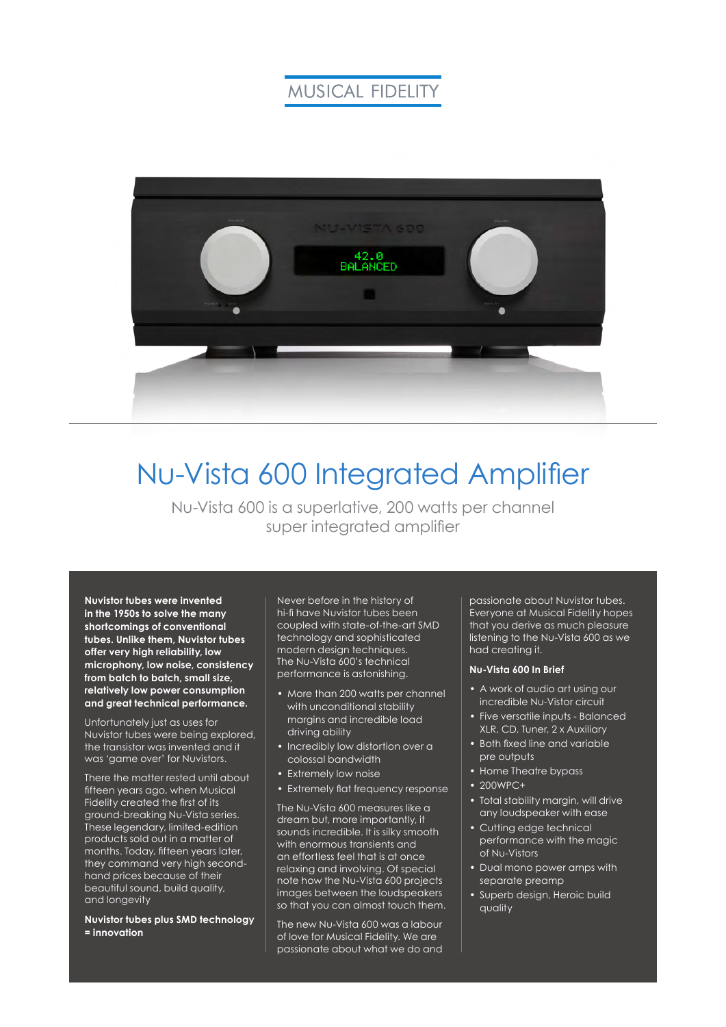### **MUSICAL FIDELITY**



# Nu-Vista 600 Integrated Amplifier

Nu-Vista 600 is a superlative, 200 watts per channel super integrated amplifier

**Nuvistor tubes were invented in the 1950s to solve the many shortcomings of conventional tubes. Unlike them, Nuvistor tubes offer very high reliability, low microphony, low noise, consistency from batch to batch, small size, relatively low power consumption and great technical performance.**

Unfortunately just as uses for Nuvistor tubes were being explored, the transistor was invented and it was 'game over' for Nuvistors.

There the matter rested until about fifteen years ago, when Musical Fidelity created the first of its ground-breaking Nu-Vista series. These legendary, limited-edition products sold out in a matter of months. Today, fifteen years later, they command very high secondhand prices because of their beautiful sound, build quality, and longevity

**Nuvistor tubes plus SMD technology = innovation**

Never before in the history of hi-fi have Nuvistor tubes been coupled with state-of-the-art SMD technology and sophisticated modern design techniques. The Nu-Vista 600's technical performance is astonishing.

- More than 200 watts per channel with unconditional stability margins and incredible load driving ability
- Incredibly low distortion over a colossal bandwidth
- Extremely low noise
- Extremely flat frequency response

The Nu-Vista 600 measures like a dream but, more importantly, it sounds incredible. It is silky smooth with enormous transients and an effortless feel that is at once relaxing and involving. Of special note how the Nu-Vista 600 projects images between the loudspeakers so that you can almost touch them.

The new Nu-Vista 600 was a labour of love for Musical Fidelity. We are passionate about what we do and passionate about Nuvistor tubes. Everyone at Musical Fidelity hopes that you derive as much pleasure listening to the Nu-Vista 600 as we had creating it.

#### **Nu-Vista 600 In Brief**

- A work of audio art using our incredible Nu-Vistor circuit
- Five versatile inputs Balanced XLR, CD, Tuner, 2 x Auxiliary
- Both fixed line and variable pre outputs
- Home Theatre bypass
- $\cdot$  200WPC+
- Total stability margin, will drive any loudspeaker with ease
- Cutting edge technical performance with the magic of Nu-Vistors
- Dual mono power amps with separate preamp
- Superb design, Heroic build quality